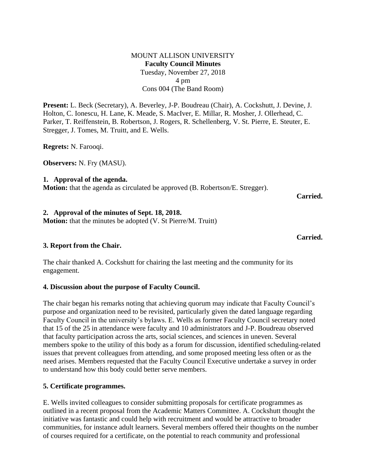MOUNT ALLISON UNIVERSITY **Faculty Council Minutes** Tuesday, November 27, 2018 4 pm Cons 004 (The Band Room)

**Present:** L. Beck (Secretary), A. Beverley, J-P. Boudreau (Chair), A. Cockshutt, J. Devine, J. Holton, C. Ionescu, H. Lane, K. Meade, S. MacIver, E. Millar, R. Mosher, J. Ollerhead, C. Parker, T. Reiffenstein, B. Robertson, J. Rogers, R. Schellenberg, V. St. Pierre, E. Steuter, E. Stregger, J. Tomes, M. Truitt, and E. Wells.

**Regrets:** N. Farooqi.

**Observers:** N. Fry (MASU).

#### **1. Approval of the agenda.**

**Motion:** that the agenda as circulated be approved (B. Robertson/E. Stregger).

**Carried.**

#### **2. Approval of the minutes of Sept. 18, 2018.**

**Motion:** that the minutes be adopted (V. St Pierre/M. Truitt)

#### **3. Report from the Chair.**

The chair thanked A. Cockshutt for chairing the last meeting and the community for its engagement.

### **4. Discussion about the purpose of Faculty Council.**

The chair began his remarks noting that achieving quorum may indicate that Faculty Council's purpose and organization need to be revisited, particularly given the dated language regarding Faculty Council in the university's bylaws. E. Wells as former Faculty Council secretary noted that 15 of the 25 in attendance were faculty and 10 administrators and J-P. Boudreau observed that faculty participation across the arts, social sciences, and sciences in uneven. Several members spoke to the utility of this body as a forum for discussion, identified scheduling-related issues that prevent colleagues from attending, and some proposed meeting less often or as the need arises. Members requested that the Faculty Council Executive undertake a survey in order to understand how this body could better serve members.

### **5. Certificate programmes.**

E. Wells invited colleagues to consider submitting proposals for certificate programmes as outlined in a recent proposal from the Academic Matters Committee. A. Cockshutt thought the initiative was fantastic and could help with recruitment and would be attractive to broader communities, for instance adult learners. Several members offered their thoughts on the number of courses required for a certificate, on the potential to reach community and professional

### **Carried.**